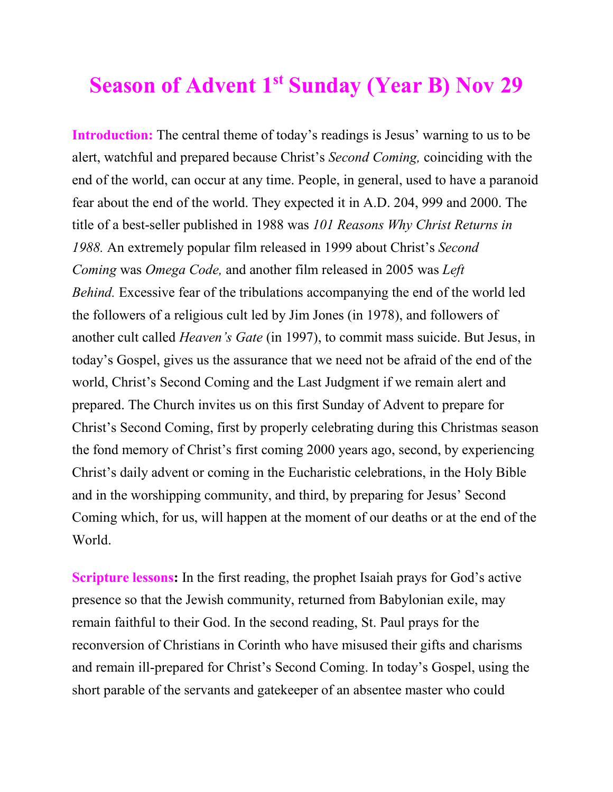## **Season of Advent 1st Sunday (Year B) Nov 29**

**Introduction:** The central theme of today's readings is Jesus' warning to us to be alert, watchful and prepared because Christ's *Second Coming,* coinciding with the end of the world, can occur at any time. People, in general, used to have a paranoid fear about the end of the world. They expected it in A.D. 204, 999 and 2000. The title of a best-seller published in 1988 was *101 Reasons Why Christ Returns in 1988.* An extremely popular film released in 1999 about Christ's *Second Coming* was *Omega Code,* and another film released in 2005 was *Left Behind.* Excessive fear of the tribulations accompanying the end of the world led the followers of a religious cult led by Jim Jones (in 1978), and followers of another cult called *Heaven's Gate* (in 1997), to commit mass suicide. But Jesus, in today's Gospel, gives us the assurance that we need not be afraid of the end of the world, Christ's Second Coming and the Last Judgment if we remain alert and prepared. The Church invites us on this first Sunday of Advent to prepare for Christ's Second Coming, first by properly celebrating during this Christmas season the fond memory of Christ's first coming 2000 years ago, second, by experiencing Christ's daily advent or coming in the Eucharistic celebrations, in the Holy Bible and in the worshipping community, and third, by preparing for Jesus' Second Coming which, for us, will happen at the moment of our deaths or at the end of the World.

**Scripture lessons:** In the first reading, the prophet Isaiah prays for God's active presence so that the Jewish community, returned from Babylonian exile, may remain faithful to their God. In the second reading, St. Paul prays for the reconversion of Christians in Corinth who have misused their gifts and charisms and remain ill-prepared for Christ's Second Coming. In today's Gospel, using the short parable of the servants and gatekeeper of an absentee master who could